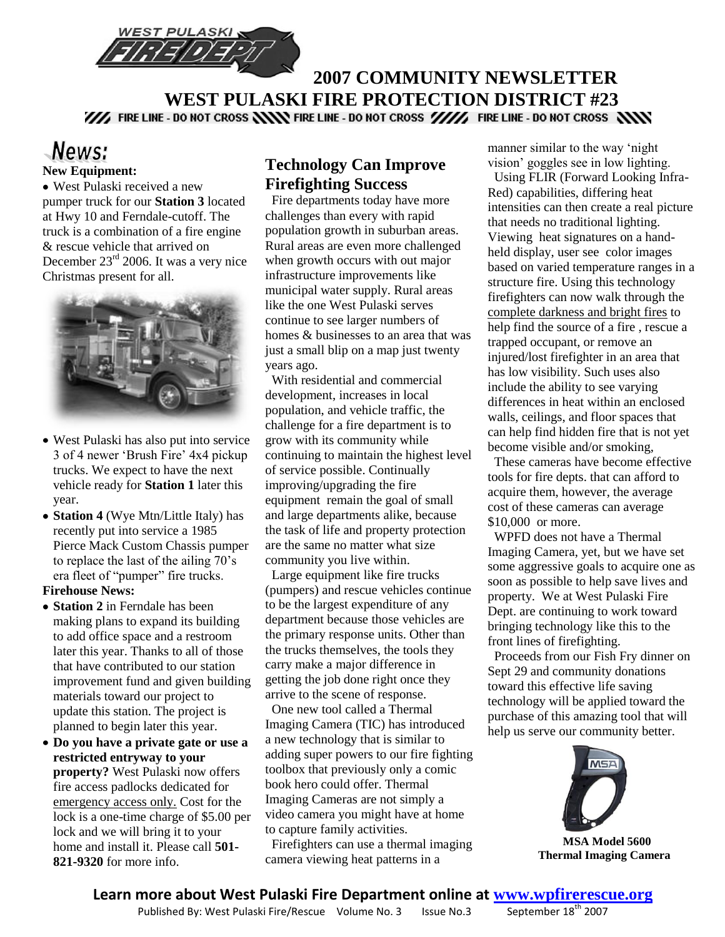

# **2007 COMMUNITY NEWSLETTER WEST PULASKI FIRE PROTECTION DISTRICT #23**<br>We fire line - do not cross **NNN** fire line - do not cross WW, fire line - do not cross NNN

### News: **New Equipment:**

West Pulaski received a new pumper truck for our **Station 3** located at Hwy 10 and Ferndale-cutoff. The truck is a combination of a fire engine & rescue vehicle that arrived on December 23<sup>rd</sup> 2006. It was a very nice Christmas present for all.



- West Pulaski has also put into service 3 of 4 newer "Brush Fire" 4x4 pickup trucks. We expect to have the next vehicle ready for **Station 1** later this year.
- **Station 4** (Wye Mtn/Little Italy) has recently put into service a 1985 Pierce Mack Custom Chassis pumper to replace the last of the ailing 70"s era fleet of "pumper" fire trucks.

#### **Firehouse News:**

- **Station 2** in Ferndale has been making plans to expand its building to add office space and a restroom later this year. Thanks to all of those that have contributed to our station improvement fund and given building materials toward our project to update this station. The project is planned to begin later this year.
- **Do you have a private gate or use a restricted entryway to your property?** West Pulaski now offers fire access padlocks dedicated for emergency access only. Cost for the lock is a one-time charge of \$5.00 per lock and we will bring it to your home and install it. Please call **501- 821-9320** for more info.

### **Technology Can Improve Firefighting Success**

 Fire departments today have more challenges than every with rapid population growth in suburban areas. Rural areas are even more challenged when growth occurs with out major infrastructure improvements like municipal water supply. Rural areas like the one West Pulaski serves continue to see larger numbers of homes & businesses to an area that was just a small blip on a map just twenty years ago.

 With residential and commercial development, increases in local population, and vehicle traffic, the challenge for a fire department is to grow with its community while continuing to maintain the highest level of service possible. Continually improving/upgrading the fire equipment remain the goal of small and large departments alike, because the task of life and property protection are the same no matter what size community you live within.

 Large equipment like fire trucks (pumpers) and rescue vehicles continue to be the largest expenditure of any department because those vehicles are the primary response units. Other than the trucks themselves, the tools they carry make a major difference in getting the job done right once they arrive to the scene of response.

 One new tool called a Thermal Imaging Camera (TIC) has introduced a new technology that is similar to adding super powers to our fire fighting toolbox that previously only a comic book hero could offer. Thermal Imaging Cameras are not simply a video camera you might have at home to capture family activities.

 Firefighters can use a thermal imaging camera viewing heat patterns in a

manner similar to the way "night vision" goggles see in low lighting.

 Using FLIR (Forward Looking Infra-Red) capabilities, differing heat intensities can then create a real picture that needs no traditional lighting. Viewing heat signatures on a handheld display, user see color images based on varied temperature ranges in a structure fire. Using this technology firefighters can now walk through the complete darkness and bright fires to help find the source of a fire , rescue a trapped occupant, or remove an injured/lost firefighter in an area that has low visibility. Such uses also include the ability to see varying differences in heat within an enclosed walls, ceilings, and floor spaces that can help find hidden fire that is not yet become visible and/or smoking,

 These cameras have become effective tools for fire depts. that can afford to acquire them, however, the average cost of these cameras can average \$10,000 or more.

 WPFD does not have a Thermal Imaging Camera, yet, but we have set some aggressive goals to acquire one as soon as possible to help save lives and property. We at West Pulaski Fire Dept. are continuing to work toward bringing technology like this to the front lines of firefighting.

 Proceeds from our Fish Fry dinner on Sept 29 and community donations toward this effective life saving technology will be applied toward the purchase of this amazing tool that will help us serve our community better.



 **MSA Model 5600 Thermal Imaging Camera**

# **Learn more about West Pulaski Fire Department online at <b>WWW.Wpfirerescue.org**<br>Published By: West Pulaski Fire/Rescue Volume No. 3 Issue No. 3 September 18<sup>th</sup> 2007

Published By: West Pulaski Fire/Rescue Volume No. 3 Issue No. 3